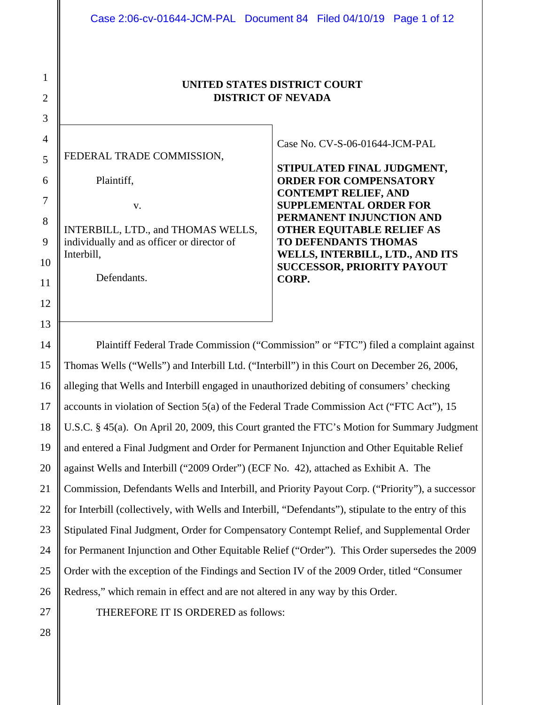#### **UNITED STATES DISTRICT COURT DISTRICT OF NEVADA**

FEDERAL TRADE COMMISSION,

Plaintiff,

1

2

3

4

5

6

7

8

9

10

11

12

13

14

15

16

17

18

19

20

21

22

23

24

25

26

v.

INTERBILL, LTD., and THOMAS WELLS, individually and as officer or director of Interbill,

Defendants.

Case No. CV-S-06-01644-JCM-PAL

**STIPULATED FINAL JUDGMENT, ORDER FOR COMPENSATORY CONTEMPT RELIEF, AND SUPPLEMENTAL ORDER FOR PERMANENT INJUNCTION AND OTHER EQUITABLE RELIEF AS TO DEFENDANTS THOMAS WELLS, INTERBILL, LTD., AND ITS SUCCESSOR, PRIORITY PAYOUT CORP.** 

Plaintiff Federal Trade Commission ("Commission" or "FTC") filed a complaint against Thomas Wells ("Wells") and Interbill Ltd. ("Interbill") in this Court on December 26, 2006, alleging that Wells and Interbill engaged in unauthorized debiting of consumers' checking accounts in violation of Section 5(a) of the Federal Trade Commission Act ("FTC Act"), 15 U.S.C. § 45(a). On April 20, 2009, this Court granted the FTC's Motion for Summary Judgment and entered a Final Judgment and Order for Permanent Injunction and Other Equitable Relief against Wells and Interbill ("2009 Order") (ECF No. 42), attached as Exhibit A. The Commission, Defendants Wells and Interbill, and Priority Payout Corp. ("Priority"), a successor for Interbill (collectively, with Wells and Interbill, "Defendants"), stipulate to the entry of this Stipulated Final Judgment, Order for Compensatory Contempt Relief, and Supplemental Order for Permanent Injunction and Other Equitable Relief ("Order"). This Order supersedes the 2009 Order with the exception of the Findings and Section IV of the 2009 Order, titled "Consumer Redress," which remain in effect and are not altered in any way by this Order.

 27 28 THEREFORE IT IS ORDERED as follows: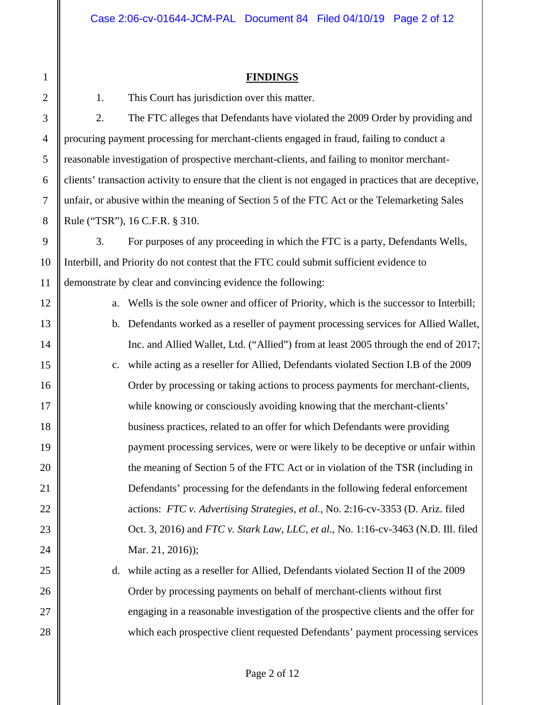#### **FINDINGS**

1. This Court has jurisdiction over this matter.

2. The FTC alleges that Defendants have violated the 2009 Order by providing and procuring payment processing for merchant-clients engaged in fraud, failing to conduct a reasonable investigation of prospective merchant-clients, and failing to monitor merchantclients' transaction activity to ensure that the client is not engaged in practices that are deceptive, unfair, or abusive within the meaning of Section 5 of the FTC Act or the Telemarketing Sales Rule ("TSR"), 16 C.F.R. § 310.

3. For purposes of any proceeding in which the FTC is a party, Defendants Wells, Interbill, and Priority do not contest that the FTC could submit sufficient evidence to demonstrate by clear and convincing evidence the following:

a. Wells is the sole owner and officer of Priority, which is the successor to Interbill; b. Defendants worked as a reseller of payment processing services for Allied Wallet, Inc. and Allied Wallet, Ltd. ("Allied") from at least 2005 through the end of 2017; c. while acting as a reseller for Allied, Defendants violated Section I.B of the 2009 Order by processing or taking actions to process payments for merchant-clients, while knowing or consciously avoiding knowing that the merchant-clients' business practices, related to an offer for which Defendants were providing payment processing services, were or were likely to be deceptive or unfair within the meaning of Section 5 of the FTC Act or in violation of the TSR (including in Defendants' processing for the defendants in the following federal enforcement actions: *FTC v. Advertising Strategies, et al.*, No. 2:16-cv-3353 (D. Ariz. filed Oct. 3, 2016) and *FTC v. Stark Law, LLC, et al*., No. 1:16-cv-3463 (N.D. Ill. filed Mar. 21, 2016));

d. while acting as a reseller for Allied, Defendants violated Section II of the 2009 Order by processing payments on behalf of merchant-clients without first engaging in a reasonable investigation of the prospective clients and the offer for which each prospective client requested Defendants' payment processing services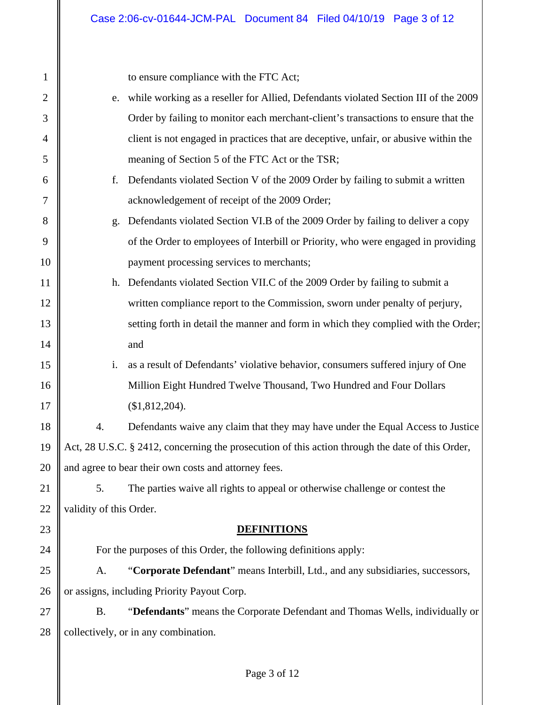| $\mathbf{1}$   |                                                                                                  | to ensure compliance with the FTC Act;                                               |  |
|----------------|--------------------------------------------------------------------------------------------------|--------------------------------------------------------------------------------------|--|
| $\overline{2}$ | e.                                                                                               | while working as a reseller for Allied, Defendants violated Section III of the 2009  |  |
| 3              |                                                                                                  | Order by failing to monitor each merchant-client's transactions to ensure that the   |  |
| 4              |                                                                                                  | client is not engaged in practices that are deceptive, unfair, or abusive within the |  |
| 5              |                                                                                                  | meaning of Section 5 of the FTC Act or the TSR;                                      |  |
| 6              | f.                                                                                               | Defendants violated Section V of the 2009 Order by failing to submit a written       |  |
| 7              |                                                                                                  | acknowledgement of receipt of the 2009 Order;                                        |  |
| 8              | g.                                                                                               | Defendants violated Section VI.B of the 2009 Order by failing to deliver a copy      |  |
| 9              |                                                                                                  | of the Order to employees of Interbill or Priority, who were engaged in providing    |  |
| 10             |                                                                                                  | payment processing services to merchants;                                            |  |
| 11             |                                                                                                  | h. Defendants violated Section VII.C of the 2009 Order by failing to submit a        |  |
| 12             |                                                                                                  | written compliance report to the Commission, sworn under penalty of perjury,         |  |
| 13             |                                                                                                  | setting forth in detail the manner and form in which they complied with the Order;   |  |
| 14             |                                                                                                  | and                                                                                  |  |
| 15             | i.                                                                                               | as a result of Defendants' violative behavior, consumers suffered injury of One      |  |
| 16             |                                                                                                  | Million Eight Hundred Twelve Thousand, Two Hundred and Four Dollars                  |  |
| 17             |                                                                                                  | (\$1,812,204).                                                                       |  |
| 18             | 4.                                                                                               | Defendants waive any claim that they may have under the Equal Access to Justice      |  |
| 19             | Act, 28 U.S.C. § 2412, concerning the prosecution of this action through the date of this Order, |                                                                                      |  |
| 20             | and agree to bear their own costs and attorney fees.                                             |                                                                                      |  |
| 21             | 5.                                                                                               | The parties waive all rights to appeal or otherwise challenge or contest the         |  |
| 22             | validity of this Order.                                                                          |                                                                                      |  |
| 23             |                                                                                                  | <b>DEFINITIONS</b>                                                                   |  |
| 24             |                                                                                                  | For the purposes of this Order, the following definitions apply:                     |  |
| 25             | A.                                                                                               | "Corporate Defendant" means Interbill, Ltd., and any subsidiaries, successors,       |  |
| 26             | or assigns, including Priority Payout Corp.                                                      |                                                                                      |  |
| 27             | <b>B.</b>                                                                                        | "Defendants" means the Corporate Defendant and Thomas Wells, individually or         |  |
| 28             | collectively, or in any combination.                                                             |                                                                                      |  |
|                |                                                                                                  |                                                                                      |  |
|                |                                                                                                  |                                                                                      |  |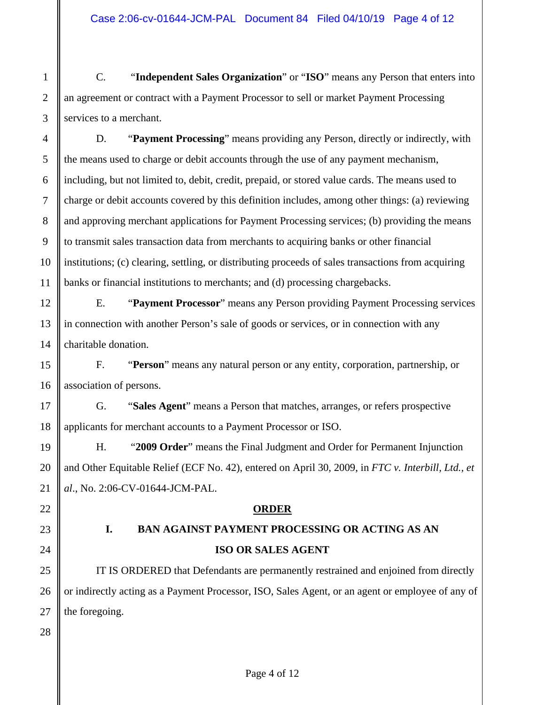C. "**Independent Sales Organization**" or "**ISO**" means any Person that enters into an agreement or contract with a Payment Processor to sell or market Payment Processing services to a merchant.

D. "**Payment Processing**" means providing any Person, directly or indirectly, with the means used to charge or debit accounts through the use of any payment mechanism, including, but not limited to, debit, credit, prepaid, or stored value cards. The means used to charge or debit accounts covered by this definition includes, among other things: (a) reviewing and approving merchant applications for Payment Processing services; (b) providing the means to transmit sales transaction data from merchants to acquiring banks or other financial institutions; (c) clearing, settling, or distributing proceeds of sales transactions from acquiring banks or financial institutions to merchants; and (d) processing chargebacks.

E. "**Payment Processor**" means any Person providing Payment Processing services in connection with another Person's sale of goods or services, or in connection with any charitable donation.

F. "**Person**" means any natural person or any entity, corporation, partnership, or association of persons.

G. "**Sales Agent**" means a Person that matches, arranges, or refers prospective applicants for merchant accounts to a Payment Processor or ISO.

H. "**2009 Order**" means the Final Judgment and Order for Permanent Injunction and Other Equitable Relief (ECF No. 42), entered on April 30, 2009, in *FTC v. Interbill, Ltd., et al*., No. 2:06-CV-01644-JCM-PAL.

#### **ORDER**

# **I. BAN AGAINST PAYMENT PROCESSING OR ACTING AS AN ISO OR SALES AGENT**

IT IS ORDERED that Defendants are permanently restrained and enjoined from directly or indirectly acting as a Payment Processor, ISO, Sales Agent, or an agent or employee of any of the foregoing.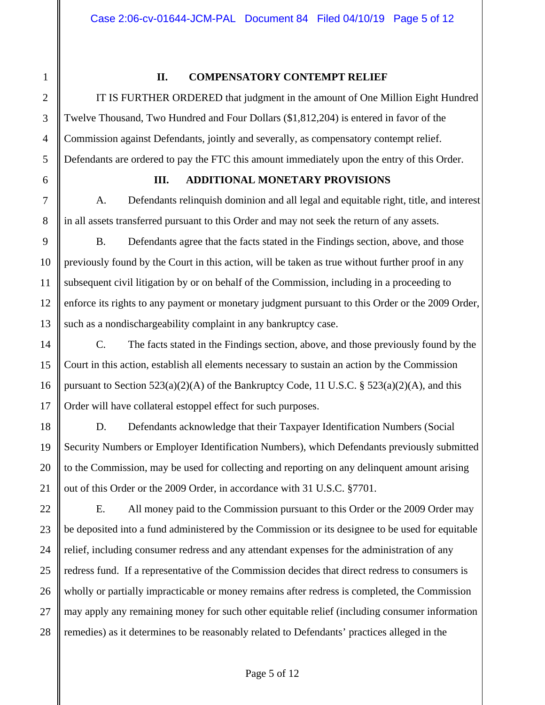#### **II. COMPENSATORY CONTEMPT RELIEF**

IT IS FURTHER ORDERED that judgment in the amount of One Million Eight Hundred Twelve Thousand, Two Hundred and Four Dollars (\$1,812,204) is entered in favor of the Commission against Defendants, jointly and severally, as compensatory contempt relief. Defendants are ordered to pay the FTC this amount immediately upon the entry of this Order.

#### **III. ADDITIONAL MONETARY PROVISIONS**

A. Defendants relinquish dominion and all legal and equitable right, title, and interest in all assets transferred pursuant to this Order and may not seek the return of any assets.

B. Defendants agree that the facts stated in the Findings section, above, and those previously found by the Court in this action, will be taken as true without further proof in any subsequent civil litigation by or on behalf of the Commission, including in a proceeding to enforce its rights to any payment or monetary judgment pursuant to this Order or the 2009 Order, such as a nondischargeability complaint in any bankruptcy case.

C. The facts stated in the Findings section, above, and those previously found by the Court in this action, establish all elements necessary to sustain an action by the Commission pursuant to Section 523(a)(2)(A) of the Bankruptcy Code, 11 U.S.C. § 523(a)(2)(A), and this Order will have collateral estoppel effect for such purposes.

D. Defendants acknowledge that their Taxpayer Identification Numbers (Social Security Numbers or Employer Identification Numbers), which Defendants previously submitted to the Commission, may be used for collecting and reporting on any delinquent amount arising out of this Order or the 2009 Order, in accordance with 31 U.S.C. §7701.

E. All money paid to the Commission pursuant to this Order or the 2009 Order may be deposited into a fund administered by the Commission or its designee to be used for equitable relief, including consumer redress and any attendant expenses for the administration of any redress fund. If a representative of the Commission decides that direct redress to consumers is wholly or partially impracticable or money remains after redress is completed, the Commission may apply any remaining money for such other equitable relief (including consumer information remedies) as it determines to be reasonably related to Defendants' practices alleged in the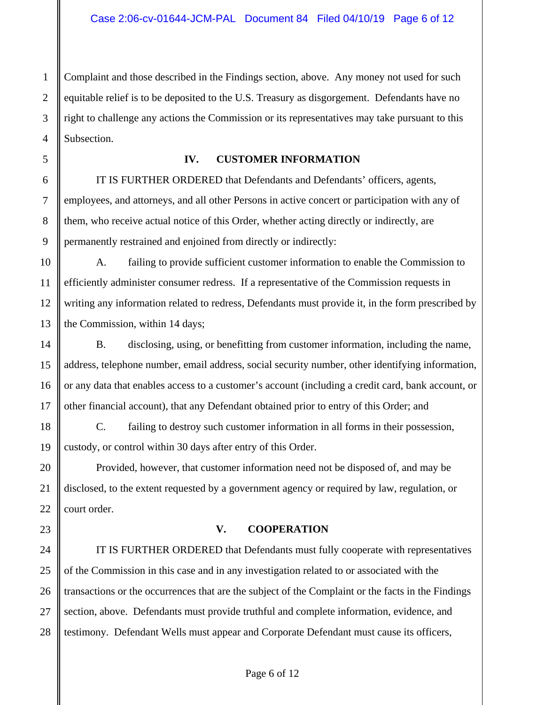Complaint and those described in the Findings section, above. Any money not used for such equitable relief is to be deposited to the U.S. Treasury as disgorgement. Defendants have no right to challenge any actions the Commission or its representatives may take pursuant to this Subsection.

#### **IV. CUSTOMER INFORMATION**

IT IS FURTHER ORDERED that Defendants and Defendants' officers, agents, employees, and attorneys, and all other Persons in active concert or participation with any of them, who receive actual notice of this Order, whether acting directly or indirectly, are permanently restrained and enjoined from directly or indirectly:

A. failing to provide sufficient customer information to enable the Commission to efficiently administer consumer redress. If a representative of the Commission requests in writing any information related to redress, Defendants must provide it, in the form prescribed by the Commission, within 14 days;

B. disclosing, using, or benefitting from customer information, including the name, address, telephone number, email address, social security number, other identifying information, or any data that enables access to a customer's account (including a credit card, bank account, or other financial account), that any Defendant obtained prior to entry of this Order; and

C. failing to destroy such customer information in all forms in their possession, custody, or control within 30 days after entry of this Order.

Provided, however, that customer information need not be disposed of, and may be disclosed, to the extent requested by a government agency or required by law, regulation, or court order.

#### **V. COOPERATION**

IT IS FURTHER ORDERED that Defendants must fully cooperate with representatives of the Commission in this case and in any investigation related to or associated with the transactions or the occurrences that are the subject of the Complaint or the facts in the Findings section, above. Defendants must provide truthful and complete information, evidence, and testimony. Defendant Wells must appear and Corporate Defendant must cause its officers,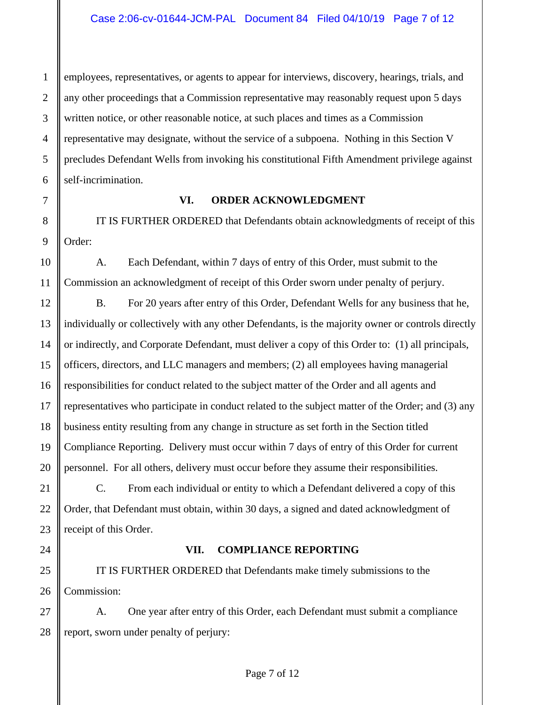employees, representatives, or agents to appear for interviews, discovery, hearings, trials, and any other proceedings that a Commission representative may reasonably request upon 5 days written notice, or other reasonable notice, at such places and times as a Commission representative may designate, without the service of a subpoena. Nothing in this Section V precludes Defendant Wells from invoking his constitutional Fifth Amendment privilege against self-incrimination.

#### **VI. ORDER ACKNOWLEDGMENT**

IT IS FURTHER ORDERED that Defendants obtain acknowledgments of receipt of this Order:

A. Each Defendant, within 7 days of entry of this Order, must submit to the Commission an acknowledgment of receipt of this Order sworn under penalty of perjury.

B. For 20 years after entry of this Order, Defendant Wells for any business that he, individually or collectively with any other Defendants, is the majority owner or controls directly or indirectly, and Corporate Defendant, must deliver a copy of this Order to: (1) all principals, officers, directors, and LLC managers and members; (2) all employees having managerial responsibilities for conduct related to the subject matter of the Order and all agents and representatives who participate in conduct related to the subject matter of the Order; and (3) any business entity resulting from any change in structure as set forth in the Section titled Compliance Reporting. Delivery must occur within 7 days of entry of this Order for current personnel. For all others, delivery must occur before they assume their responsibilities.

C. From each individual or entity to which a Defendant delivered a copy of this Order, that Defendant must obtain, within 30 days, a signed and dated acknowledgment of receipt of this Order.

## 24

1

2

3

4

5

6

7

8

9

10

11

12

13

14

15

16

17

18

19

20

21

22

23

25

26

27

#### **VII. COMPLIANCE REPORTING**

IT IS FURTHER ORDERED that Defendants make timely submissions to the Commission:

 28 A. One year after entry of this Order, each Defendant must submit a compliance report, sworn under penalty of perjury: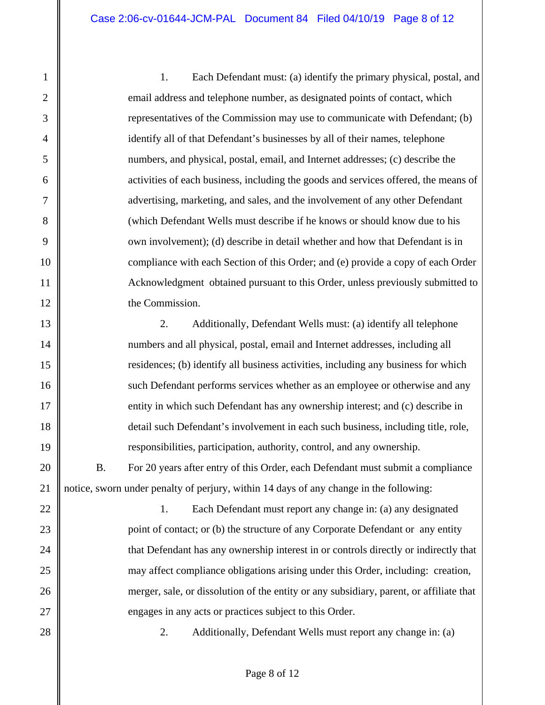1. Each Defendant must: (a) identify the primary physical, postal, and email address and telephone number, as designated points of contact, which representatives of the Commission may use to communicate with Defendant; (b) identify all of that Defendant's businesses by all of their names, telephone numbers, and physical, postal, email, and Internet addresses; (c) describe the activities of each business, including the goods and services offered, the means of advertising, marketing, and sales, and the involvement of any other Defendant (which Defendant Wells must describe if he knows or should know due to his own involvement); (d) describe in detail whether and how that Defendant is in compliance with each Section of this Order; and (e) provide a copy of each Order Acknowledgment obtained pursuant to this Order, unless previously submitted to the Commission.

2. Additionally, Defendant Wells must: (a) identify all telephone numbers and all physical, postal, email and Internet addresses, including all residences; (b) identify all business activities, including any business for which such Defendant performs services whether as an employee or otherwise and any entity in which such Defendant has any ownership interest; and (c) describe in detail such Defendant's involvement in each such business, including title, role, responsibilities, participation, authority, control, and any ownership.

B. For 20 years after entry of this Order, each Defendant must submit a compliance notice, sworn under penalty of perjury, within 14 days of any change in the following:

1. Each Defendant must report any change in: (a) any designated point of contact; or (b) the structure of any Corporate Defendant or any entity that Defendant has any ownership interest in or controls directly or indirectly that may affect compliance obligations arising under this Order, including: creation, merger, sale, or dissolution of the entity or any subsidiary, parent, or affiliate that engages in any acts or practices subject to this Order.

28

1

2

3

4

5

6

7

8

9

10

11

12

13

14

15

16

17

18

19

20

21

22

23

24

25

26

27

2. Additionally, Defendant Wells must report any change in: (a)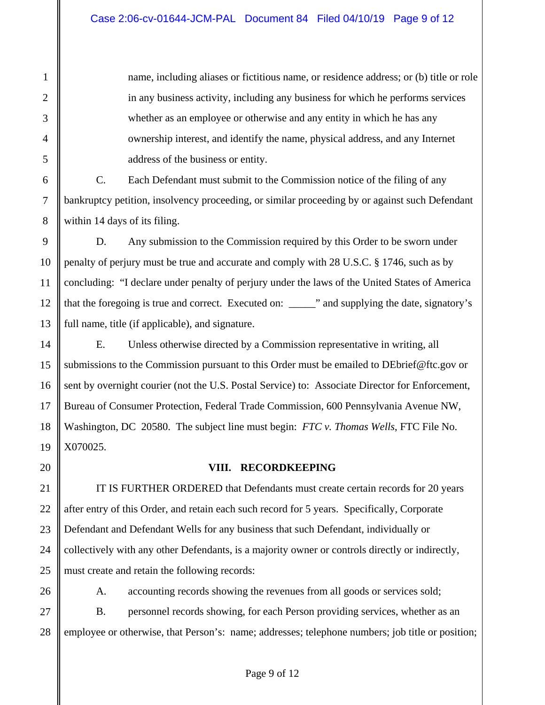name, including aliases or fictitious name, or residence address; or (b) title or role in any business activity, including any business for which he performs services whether as an employee or otherwise and any entity in which he has any ownership interest, and identify the name, physical address, and any Internet address of the business or entity.

C. Each Defendant must submit to the Commission notice of the filing of any bankruptcy petition, insolvency proceeding, or similar proceeding by or against such Defendant within 14 days of its filing.

D. Any submission to the Commission required by this Order to be sworn under penalty of perjury must be true and accurate and comply with 28 U.S.C. § 1746, such as by concluding: "I declare under penalty of perjury under the laws of the United States of America that the foregoing is true and correct. Executed on: \_\_\_\_\_" and supplying the date, signatory's full name, title (if applicable), and signature.

E. Unless otherwise directed by a Commission representative in writing, all submissions to the Commission pursuant to this Order must be emailed to DEbrief@ftc.gov or sent by overnight courier (not the U.S. Postal Service) to: Associate Director for Enforcement, Bureau of Consumer Protection, Federal Trade Commission, 600 Pennsylvania Avenue NW, Washington, DC 20580. The subject line must begin: *FTC v. Thomas Wells*, FTC File No. X070025.

#### **VIII. RECORDKEEPING**

IT IS FURTHER ORDERED that Defendants must create certain records for 20 years after entry of this Order, and retain each such record for 5 years. Specifically, Corporate Defendant and Defendant Wells for any business that such Defendant, individually or collectively with any other Defendants, is a majority owner or controls directly or indirectly, must create and retain the following records:

A. accounting records showing the revenues from all goods or services sold; B. personnel records showing, for each Person providing services, whether as an employee or otherwise, that Person's: name; addresses; telephone numbers; job title or position;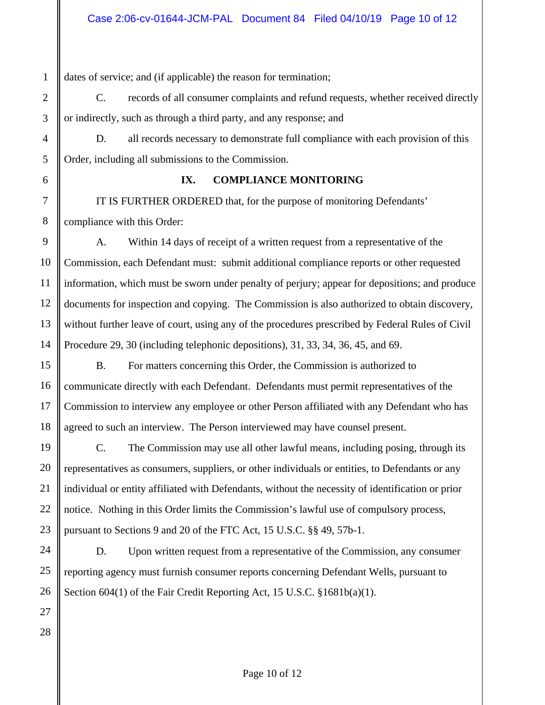dates of service; and (if applicable) the reason for termination;

C. records of all consumer complaints and refund requests, whether received directly or indirectly, such as through a third party, and any response; and

D. all records necessary to demonstrate full compliance with each provision of this Order, including all submissions to the Commission.

1

2

3

4

5

6

7

8

9

10

11

12

13

14

15

16

17

18

19

20

21

22

23

24

25

26

27

28

#### **IX. COMPLIANCE MONITORING**

IT IS FURTHER ORDERED that, for the purpose of monitoring Defendants' compliance with this Order:

A. Within 14 days of receipt of a written request from a representative of the Commission, each Defendant must: submit additional compliance reports or other requested information, which must be sworn under penalty of perjury; appear for depositions; and produce documents for inspection and copying. The Commission is also authorized to obtain discovery, without further leave of court, using any of the procedures prescribed by Federal Rules of Civil Procedure 29, 30 (including telephonic depositions), 31, 33, 34, 36, 45, and 69.

B. For matters concerning this Order, the Commission is authorized to communicate directly with each Defendant. Defendants must permit representatives of the Commission to interview any employee or other Person affiliated with any Defendant who has agreed to such an interview. The Person interviewed may have counsel present.

C. The Commission may use all other lawful means, including posing, through its representatives as consumers, suppliers, or other individuals or entities, to Defendants or any individual or entity affiliated with Defendants, without the necessity of identification or prior notice. Nothing in this Order limits the Commission's lawful use of compulsory process, pursuant to Sections 9 and 20 of the FTC Act, 15 U.S.C. §§ 49, 57b-1.

D. Upon written request from a representative of the Commission, any consumer reporting agency must furnish consumer reports concerning Defendant Wells, pursuant to Section 604(1) of the Fair Credit Reporting Act, 15 U.S.C. §1681b(a)(1).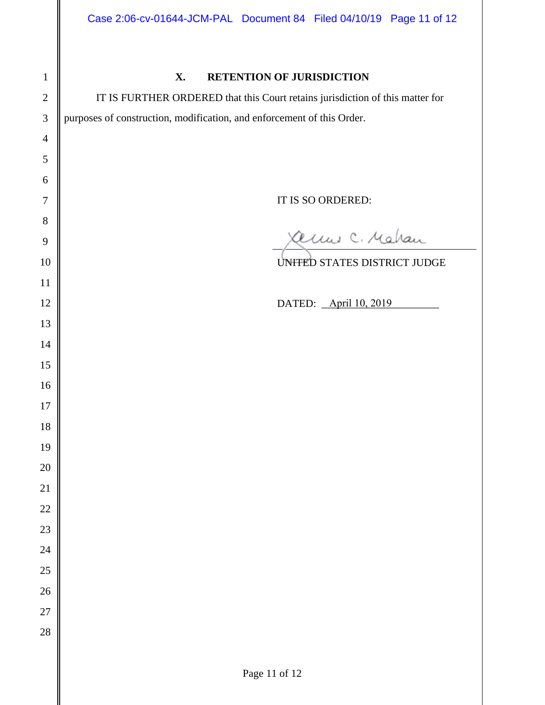| $\mathbf 1$    |      |
|----------------|------|
| $\overline{c}$ |      |
| 3              | purp |
| $\overline{4}$ |      |
| 5              |      |
| 6              |      |
| 7              |      |
| 8              |      |
| 9              |      |
| 10             |      |
| 11             |      |
| 12             |      |
| 13             |      |
| 14             |      |
| 15             |      |
| 16             |      |
| 17             |      |
| 18             |      |
| 19             |      |
| 20             |      |
| 21             |      |
| 22             |      |
| 23             |      |
| 24             |      |
| 25             |      |
| 26             |      |
| 27             |      |
| 28             |      |
|                |      |

### **X. RETENTION OF JURISDICTION**

IT IS FURTHER ORDERED that this Court retains jurisdiction of this matter for poses of construction, modification, and enforcement of this Order.

IT IS SO ORDERED:

amis C. Mahan

UNITED STATES DISTRICT JUDGE

DATED: <u>April 10, 2019</u>